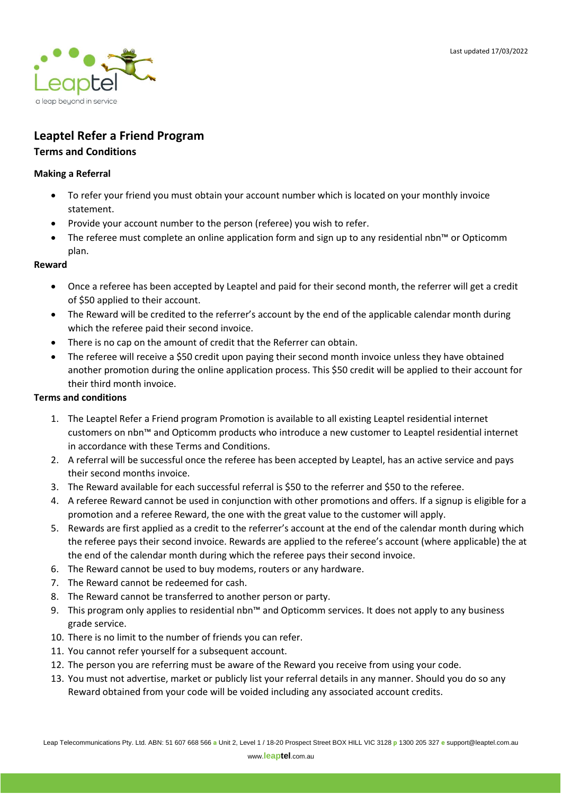

# **Leaptel Refer a Friend Program**

## **Terms and Conditions**

#### **Making a Referral**

- To refer your friend you must obtain your account number which is located on your monthly invoice statement.
- Provide your account number to the person (referee) you wish to refer.
- The referee must complete an online application form and sign up to any residential nbn™ or Opticomm plan.

#### **Reward**

- Once a referee has been accepted by Leaptel and paid for their second month, the referrer will get a credit of \$50 applied to their account.
- The Reward will be credited to the referrer's account by the end of the applicable calendar month during which the referee paid their second invoice.
- There is no cap on the amount of credit that the Referrer can obtain.
- The referee will receive a \$50 credit upon paying their second month invoice unless they have obtained another promotion during the online application process. This \$50 credit will be applied to their account for their third month invoice.

### **Terms and conditions**

- 1. The Leaptel Refer a Friend program Promotion is available to all existing Leaptel residential internet customers on nbn™ and Opticomm products who introduce a new customer to Leaptel residential internet in accordance with these Terms and Conditions.
- 2. A referral will be successful once the referee has been accepted by Leaptel, has an active service and pays their second months invoice.
- 3. The Reward available for each successful referral is \$50 to the referrer and \$50 to the referee.
- 4. A referee Reward cannot be used in conjunction with other promotions and offers. If a signup is eligible for a promotion and a referee Reward, the one with the great value to the customer will apply.
- 5. Rewards are first applied as a credit to the referrer's account at the end of the calendar month during which the referee pays their second invoice. Rewards are applied to the referee's account (where applicable) the at the end of the calendar month during which the referee pays their second invoice.
- 6. The Reward cannot be used to buy modems, routers or any hardware.
- 7. The Reward cannot be redeemed for cash.
- 8. The Reward cannot be transferred to another person or party.
- 9. This program only applies to residential nbn™ and Opticomm services. It does not apply to any business grade service.
- 10. There is no limit to the number of friends you can refer.
- 11. You cannot refer yourself for a subsequent account.
- 12. The person you are referring must be aware of the Reward you receive from using your code.
- 13. You must not advertise, market or publicly list your referral details in any manner. Should you do so any Reward obtained from your code will be voided including any associated account credits.